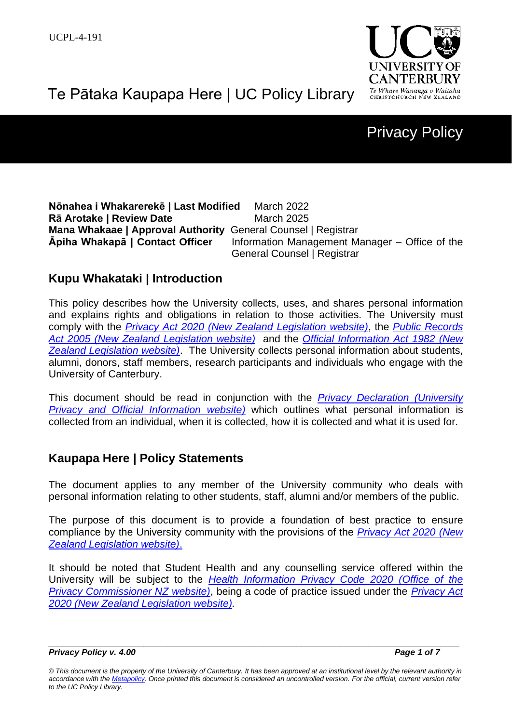

# Te Pātaka Kaupapa Here | UC Policy Library

## Privacy Policy

**Nōnahea i Whakarerekē | Last Modified** March 2022 **Rā Arotake | Review Date** March 2025 **Mana Whakaae | Approval Authority** General Counsel | Registrar **Āpiha Whakapā | Contact Officer** Information Management Manager – Office of the General Counsel | Registrar

## **Kupu Whakataki | Introduction**

This policy describes how the University collects, uses, and shares personal information and explains rights and obligations in relation to those activities. The University must comply with the *[Privacy Act 2020 \(New Zealand Legislation website\)](https://legislation.govt.nz/act/public/2020/0031/latest/LMS23223.html?src=qs)*, the *[Public Records](https://legislation.govt.nz/act/public/2005/0040/latest/DLM345529.html?src=qs)  [Act 2005 \(New Zealand Legislation website\)](https://legislation.govt.nz/act/public/2005/0040/latest/DLM345529.html?src=qs)* and the *[Official Information Act 1982 \(New](https://legislation.govt.nz/act/public/1982/0156/latest/DLM64785.html?src=qs)  [Zealand Legislation website\)](https://legislation.govt.nz/act/public/1982/0156/latest/DLM64785.html?src=qs)*. The University collects personal information about students, alumni, donors, staff members, research participants and individuals who engage with the University of Canterbury.

This document should be read in conjunction with the *[Privacy Declaration \(University](https://www.canterbury.ac.nz/privacy/privacy-obligations/)  [Privacy and Official Information](https://www.canterbury.ac.nz/privacy/privacy-obligations/) website)* which outlines what personal information is collected from an individual, when it is collected, how it is collected and what it is used for.

## **Kaupapa Here | Policy Statements**

The document applies to any member of the University community who deals with personal information relating to other students, staff, alumni and/or members of the public.

The purpose of this document is to provide a foundation of best practice to ensure compliance by the University community with the provisions of the *[Privacy Act 2020](https://legislation.govt.nz/act/public/2020/0031/latest/LMS23223.html?src=qs) (New [Zealand Legislation website\)](https://legislation.govt.nz/act/public/2020/0031/latest/LMS23223.html?src=qs)*.

It should be noted that Student Health and any counselling service offered within the University will be subject to the *[Health Information Privacy Code 2020](https://privacy.org.nz/privacy-act-2020/codes-of-practice/hipc2020/) (Office of the [Privacy Commissioner NZ website\)](https://privacy.org.nz/privacy-act-2020/codes-of-practice/hipc2020/)*, being a code of practice issued under the *[Privacy Act](https://legislation.govt.nz/act/public/2020/0031/latest/LMS23223.html?src=qs) [2020 \(New Zealand Legislation website\).](https://legislation.govt.nz/act/public/2020/0031/latest/LMS23223.html?src=qs)* 

*\_\_\_\_\_\_\_\_\_\_\_\_\_\_\_\_\_\_\_\_\_\_\_\_\_\_\_\_\_\_\_\_\_\_\_\_\_\_\_\_\_\_\_\_\_\_\_\_\_\_\_\_\_\_\_\_\_\_\_\_\_\_\_\_\_\_\_\_\_\_\_\_\_\_\_\_\_\_\_\_\_\_\_\_\_\_ Privacy Policy v. 4.00 Page 1 of 7*

*<sup>©</sup> This document is the property of the University of Canterbury. It has been approved at an institutional level by the relevant authority in accordance with the [Metapolicy.](https://www.canterbury.ac.nz/about/governance/ucpolicy/staff/metapolicy/) Once printed this document is considered an uncontrolled version. For the official, current version refer to the UC Policy Library.*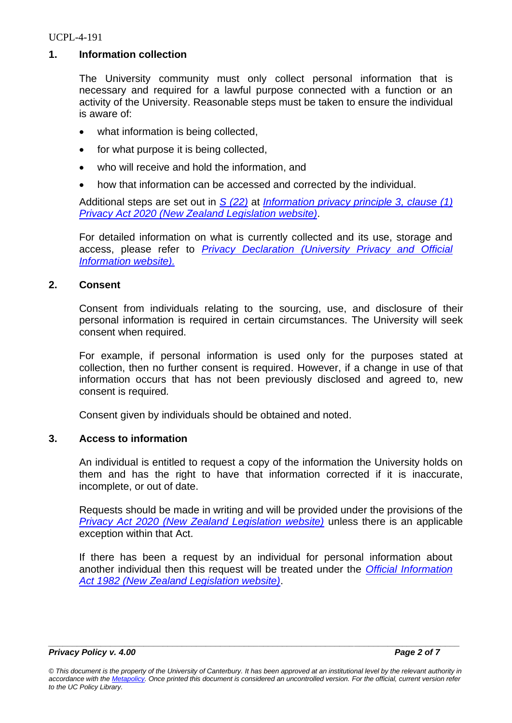#### UCPL-4-191

#### **1. Information collection**

The University community must only collect personal information that is necessary and required for a lawful purpose connected with a function or an activity of the University. Reasonable steps must be taken to ensure the individual is aware of:

- what information is being collected,
- for what purpose it is being collected,
- who will receive and hold the information, and
- how that information can be accessed and corrected by the individual.

Additional steps are set out in *[S \(22\)](https://legislation.govt.nz/act/public/2020/0031/latest/LMS23342.html)* at *[Information privacy principle 3,](https://legislation.govt.nz/act/public/2020/0031/latest/LMS23342.html) clause (1) [Privacy Act 2020 \(New Zealand Legislation website\)](https://legislation.govt.nz/act/public/2020/0031/latest/LMS23342.html)*.

For detailed information on what is currently collected and its use, storage and access, please refer to *[Privacy Declaration \(University Privacy and Official](https://www.canterbury.ac.nz/privacy/privacy-obligations/)  [Information website\).](https://www.canterbury.ac.nz/privacy/privacy-obligations/)*

#### **2. Consent**

Consent from individuals relating to the sourcing, use, and disclosure of their personal information is required in certain circumstances. The University will seek consent when required.

For example, if personal information is used only for the purposes stated at collection, then no further consent is required. However, if a change in use of that information occurs that has not been previously disclosed and agreed to, new consent is required*.* 

Consent given by individuals should be obtained and noted.

### **3. Access to information**

An individual is entitled to request a copy of the information the University holds on them and has the right to have that information corrected if it is inaccurate, incomplete, or out of date.

Requests should be made in writing and will be provided under the provisions of the *[Privacy Act 2020 \(New Zealand Legislation website\)](https://legislation.govt.nz/act/public/2020/0031/latest/LMS23223.html?src=qs)* unless there is an applicable exception within that Act.

If there has been a request by an individual for personal information about another individual then this request will be treated under the *[Official Information](http://www.legislation.govt.nz/act/public/1982/0156/latest/DLM64785.html?src=qs)  [Act 1982 \(New Zealand Legislation website\)](http://www.legislation.govt.nz/act/public/1982/0156/latest/DLM64785.html?src=qs)*.

*Privacy Policy v. 4.00 Page 2 of 7*

*\_\_\_\_\_\_\_\_\_\_\_\_\_\_\_\_\_\_\_\_\_\_\_\_\_\_\_\_\_\_\_\_\_\_\_\_\_\_\_\_\_\_\_\_\_\_\_\_\_\_\_\_\_\_\_\_\_\_\_\_\_\_\_\_\_\_\_\_\_\_\_\_\_\_\_\_\_\_\_\_\_\_\_\_\_\_*

*<sup>©</sup> This document is the property of the University of Canterbury. It has been approved at an institutional level by the relevant authority in accordance with the [Metapolicy.](https://www.canterbury.ac.nz/about/governance/ucpolicy/staff/metapolicy/) Once printed this document is considered an uncontrolled version. For the official, current version refer to the UC Policy Library.*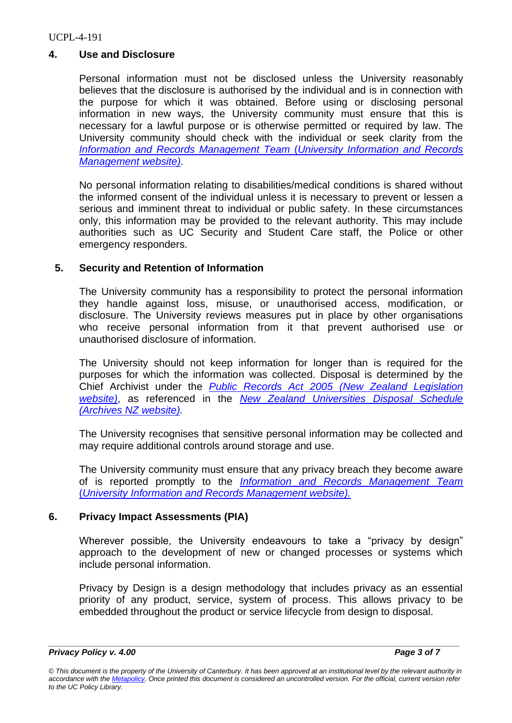## **4. Use and Disclosure**

Personal information must not be disclosed unless the University reasonably believes that the disclosure is authorised by the individual and is in connection with the purpose for which it was obtained. Before using or disclosing personal information in new ways, the University community must ensure that this is necessary for a lawful purpose or is otherwise permitted or required by law. The University community should check with the individual or seek clarity from the *[Information and Records Management Team](https://www.canterbury.ac.nz/irm/)* (*University Information and Records [Management website\).](https://www.canterbury.ac.nz/irm/)*

No personal information relating to disabilities/medical conditions is shared without the informed consent of the individual unless it is necessary to prevent or lessen a serious and imminent threat to individual or public safety. In these circumstances only, this information may be provided to the relevant authority. This may include authorities such as UC Security and Student Care staff, the Police or other emergency responders.

### **5. Security and Retention of Information**

The University community has a responsibility to protect the personal information they handle against loss, misuse, or unauthorised access, modification, or disclosure. The University reviews measures put in place by other organisations who receive personal information from it that prevent authorised use or unauthorised disclosure of information.

The University should not keep information for longer than is required for the purposes for which the information was collected. Disposal is determined by the Chief Archivist under the *Public Records Act 2005 [\(New Zealand Legislation](http://www.legislation.govt.nz/act/public/2005/0040/latest/whole.html)  [website\)](http://www.legislation.govt.nz/act/public/2005/0040/latest/whole.html)*, as referenced in the *[New Zealand Universities Disposal Schedule](https://collections.archives.govt.nz/web/arena/search#/item/aims-archive/DA702/da702)  [\(Archives NZ website\).](https://collections.archives.govt.nz/web/arena/search#/item/aims-archive/DA702/da702)*

The University recognises that sensitive personal information may be collected and may require additional controls around storage and use.

The University community must ensure that any privacy breach they become aware of is reported promptly to the *[Information and Records Management Team](https://www.canterbury.ac.nz/irm/)* (*[University Information and Records Management website\).](https://www.canterbury.ac.nz/irm/)*

### **6. Privacy Impact Assessments (PIA)**

Wherever possible, the University endeavours to take a "privacy by design" approach to the development of new or changed processes or systems which include personal information.

Privacy by Design is a design methodology that includes privacy as an essential priority of any product, service, system of process. This allows privacy to be embedded throughout the product or service lifecycle from design to disposal.

*\_\_\_\_\_\_\_\_\_\_\_\_\_\_\_\_\_\_\_\_\_\_\_\_\_\_\_\_\_\_\_\_\_\_\_\_\_\_\_\_\_\_\_\_\_\_\_\_\_\_\_\_\_\_\_\_\_\_\_\_\_\_\_\_\_\_\_\_\_\_\_\_\_\_\_\_\_\_\_\_\_\_\_\_\_\_*

*<sup>©</sup> This document is the property of the University of Canterbury. It has been approved at an institutional level by the relevant authority in accordance with the [Metapolicy.](https://www.canterbury.ac.nz/about/governance/ucpolicy/staff/metapolicy/) Once printed this document is considered an uncontrolled version. For the official, current version refer to the UC Policy Library.*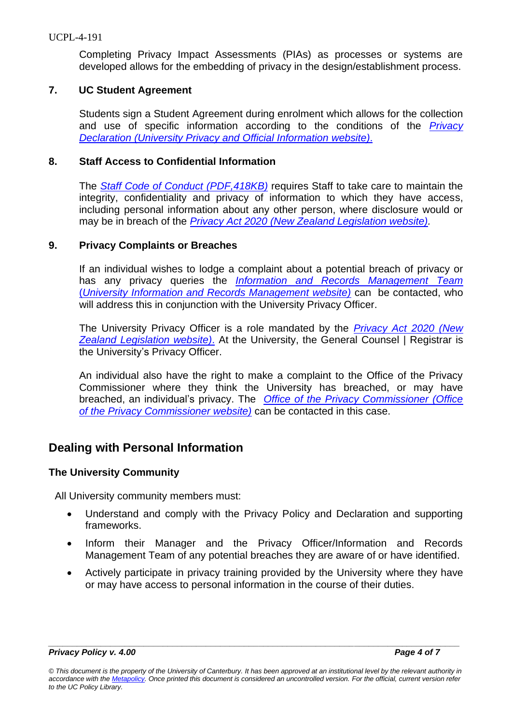Completing Privacy Impact Assessments (PIAs) as processes or systems are developed allows for the embedding of privacy in the design/establishment process.

### **7. UC Student Agreement**

Students sign a Student Agreement during enrolment which allows for the collection and use of specific information according to the conditions of the *[Privacy](https://www.canterbury.ac.nz/privacy/privacy-obligations/)  [Declaration \(University Privacy and Official Information website\)](https://www.canterbury.ac.nz/privacy/privacy-obligations/)*.

#### **8. Staff Access to Confidential Information**

The *[Staff Code of Conduct \(PDF,418KB\)](https://www.canterbury.ac.nz/about/governance/ucpolicy/general/staff-code-of-conduct/)* requires Staff to take care to maintain the integrity, confidentiality and privacy of information to which they have access, including personal information about any other person, where disclosure would or may be in breach of the *Privacy Act [2020 \(New Zealand Legislation website\).](https://legislation.govt.nz/act/public/2020/0031/latest/LMS23223.html?src=qs)*

#### **9. Privacy Complaints or Breaches**

If an individual wishes to lodge a complaint about a potential breach of privacy or has any privacy queries the *[Information and Records Management Team](https://www.canterbury.ac.nz/irm/)* (*[University Information and Records Management website\)](https://www.canterbury.ac.nz/irm/)* can be contacted, who will address this in conjunction with the University Privacy Officer.

The University Privacy Officer is a role mandated by the *Privacy Act [2020 \(New](https://legislation.govt.nz/act/public/2020/0031/latest/LMS23223.html?src=qs)  [Zealand Legislation website\)](https://legislation.govt.nz/act/public/2020/0031/latest/LMS23223.html?src=qs)*. At the University, the General Counsel | Registrar is the University's Privacy Officer.

An individual also have the right to make a complaint to the Office of the Privacy Commissioner where they think the University has breached, or may have breached, an individual's privacy. The *[Office of the Privacy Commissioner \(Office](https://www.privacy.org.nz/about-us/contact/)  [of the Privacy Commissioner website\)](https://www.privacy.org.nz/about-us/contact/)* can be contacted in this case.

## **Dealing with Personal Information**

### **The University Community**

All University community members must:

- Understand and comply with the Privacy Policy and Declaration and supporting frameworks.
- Inform their Manager and the Privacy Officer/Information and Records Management Team of any potential breaches they are aware of or have identified.
- Actively participate in privacy training provided by the University where they have or may have access to personal information in the course of their duties.

*<sup>©</sup> This document is the property of the University of Canterbury. It has been approved at an institutional level by the relevant authority in accordance with the [Metapolicy.](https://www.canterbury.ac.nz/about/governance/ucpolicy/staff/metapolicy/) Once printed this document is considered an uncontrolled version. For the official, current version refer to the UC Policy Library.*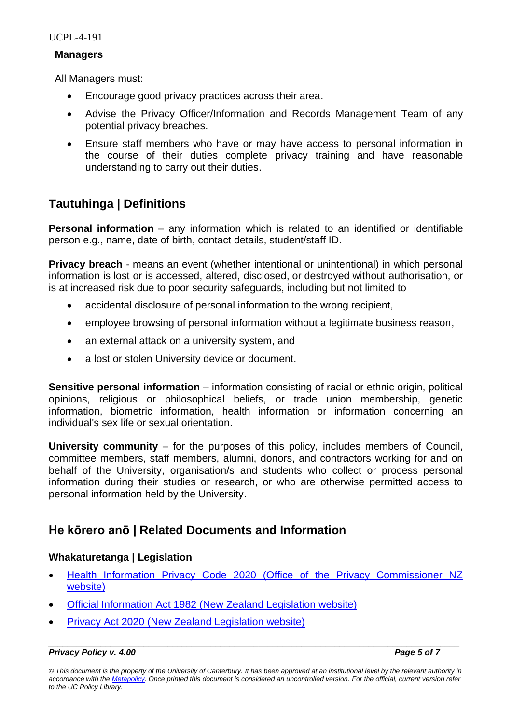UCPL-4-191

#### **Managers**

All Managers must:

- Encourage good privacy practices across their area.
- Advise the Privacy Officer/Information and Records Management Team of any potential privacy breaches.
- Ensure staff members who have or may have access to personal information in the course of their duties complete privacy training and have reasonable understanding to carry out their duties.

## **Tautuhinga | Definitions**

**Personal information** – any information which is related to an identified or identifiable person e.g., name, date of birth, contact details, student/staff ID.

**Privacy breach** - means an event (whether intentional or unintentional) in which personal information is lost or is accessed, altered, disclosed, or destroyed without authorisation, or is at increased risk due to poor security safeguards, including but not limited to

- accidental disclosure of personal information to the wrong recipient,
- employee browsing of personal information without a legitimate business reason,
- an external attack on a university system, and
- a lost or stolen University device or document.

**Sensitive personal information** – information consisting of racial or ethnic origin, political opinions, religious or philosophical beliefs, or trade union membership, genetic information, biometric information, health information or information concerning an individual's sex life or sexual orientation.

**University community** – for the purposes of this policy, includes members of Council, committee members, staff members, alumni, donors, and contractors working for and on behalf of the University, organisation/s and students who collect or process personal information during their studies or research, or who are otherwise permitted access to personal information held by the University.

## **He kōrero anō | Related Documents and Information**

## **Whakaturetanga | Legislation**

- [Health Information Privacy Code 2020 \(Office of the Privacy Commissioner NZ](https://privacy.org.nz/privacy-act-2020/codes-of-practice/hipc2020/)  [website\)](https://privacy.org.nz/privacy-act-2020/codes-of-practice/hipc2020/)
- [Official Information Act 1982 \(New Zealand Legislation website\)](http://www.legislation.govt.nz/act/public/1982/0156/latest/DLM64785.html?src=qs)
- **[Privacy Act 2020 \(New Zealand Legislation website\)](https://legislation.govt.nz/act/public/2020/0031/latest/LMS23223.html?src=qs)**

*© This document is the property of the University of Canterbury. It has been approved at an institutional level by the relevant authority in accordance with the [Metapolicy.](https://www.canterbury.ac.nz/about/governance/ucpolicy/staff/metapolicy/) Once printed this document is considered an uncontrolled version. For the official, current version refer to the UC Policy Library.*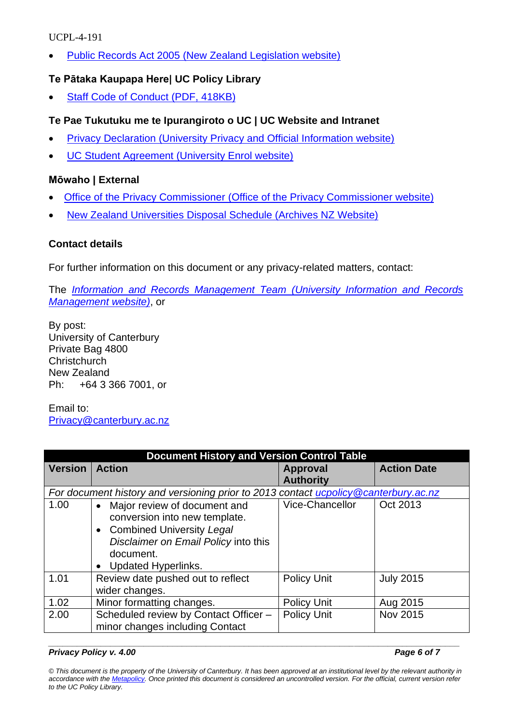## UCPL-4-191

• [Public Records Act 2005 \(New Zealand Legislation website\)](http://www.legislation.govt.nz/act/public/2005/0040/latest/whole.html) 

## **Te Pātaka Kaupapa Here| UC Policy Library**

**[Staff Code of Conduct \(PDF, 418KB\)](https://www.canterbury.ac.nz/about/governance/ucpolicy/general/staff-code-of-conduct/)** 

## **Te Pae Tukutuku me te Ipurangiroto o UC | UC Website and Intranet**

- [Privacy Declaration \(University Privacy and Official Information website\)](https://www.canterbury.ac.nz/privacy/)
- [UC Student Agreement \(University Enrol website\)](https://www.canterbury.ac.nz/enrol/student-agreement/)

## **Mōwaho | External**

- Office of the Privacy Commissioner [\(Office of the Privacy Commissioner website\)](https://www.privacy.org.nz/)
- [New Zealand Universities Disposal Schedule \(Archives NZ Website\)](https://collections.archives.govt.nz/web/arena/search#/item/aims-archive/DA702/da702)

## **Contact details**

For further information on this document or any privacy-related matters, contact:

The *[Information and Records Management Team](https://www.canterbury.ac.nz/irm/) (University Information and Records [Management website\)](https://www.canterbury.ac.nz/irm/)*, or

By post: University of Canterbury Private Bag 4800 **Christchurch** New Zealand Ph: +64 3 366 7001, or

Email to: [Privacy@canterbury.ac.nz](https://ucliveac-my.sharepoint.com/personal/juliet_moore_canterbury_ac_nz/Documents/Privacy@canterbury.ac.nz)

| <b>Document History and Version Control Table</b>                                    |                                           |                        |                    |  |
|--------------------------------------------------------------------------------------|-------------------------------------------|------------------------|--------------------|--|
| <b>Version</b>                                                                       | <b>Action</b>                             | <b>Approval</b>        | <b>Action Date</b> |  |
|                                                                                      |                                           | <b>Authority</b>       |                    |  |
| For document history and versioning prior to 2013 contact ucpolicy @canterbury.ac.nz |                                           |                        |                    |  |
| 1.00                                                                                 | Major review of document and<br>$\bullet$ | <b>Vice-Chancellor</b> | Oct 2013           |  |
|                                                                                      | conversion into new template.             |                        |                    |  |
|                                                                                      | • Combined University Legal               |                        |                    |  |
|                                                                                      | Disclaimer on Email Policy into this      |                        |                    |  |
|                                                                                      | document.                                 |                        |                    |  |
|                                                                                      | <b>Updated Hyperlinks.</b><br>$\bullet$   |                        |                    |  |
| 1.01                                                                                 | Review date pushed out to reflect         | <b>Policy Unit</b>     | <b>July 2015</b>   |  |
|                                                                                      | wider changes.                            |                        |                    |  |
| 1.02                                                                                 | Minor formatting changes.                 | <b>Policy Unit</b>     | Aug 2015           |  |
| 2.00                                                                                 | Scheduled review by Contact Officer -     | <b>Policy Unit</b>     | Nov 2015           |  |
|                                                                                      | minor changes including Contact           |                        |                    |  |

#### *\_\_\_\_\_\_\_\_\_\_\_\_\_\_\_\_\_\_\_\_\_\_\_\_\_\_\_\_\_\_\_\_\_\_\_\_\_\_\_\_\_\_\_\_\_\_\_\_\_\_\_\_\_\_\_\_\_\_\_\_\_\_\_\_\_\_\_\_\_\_\_\_\_\_\_\_\_\_\_\_\_\_\_\_\_\_ Privacy Policy v. 4.00 Page 6 of 7*

*© This document is the property of the University of Canterbury. It has been approved at an institutional level by the relevant authority in accordance with the [Metapolicy.](https://www.canterbury.ac.nz/about/governance/ucpolicy/staff/metapolicy/) Once printed this document is considered an uncontrolled version. For the official, current version refer to the UC Policy Library.*